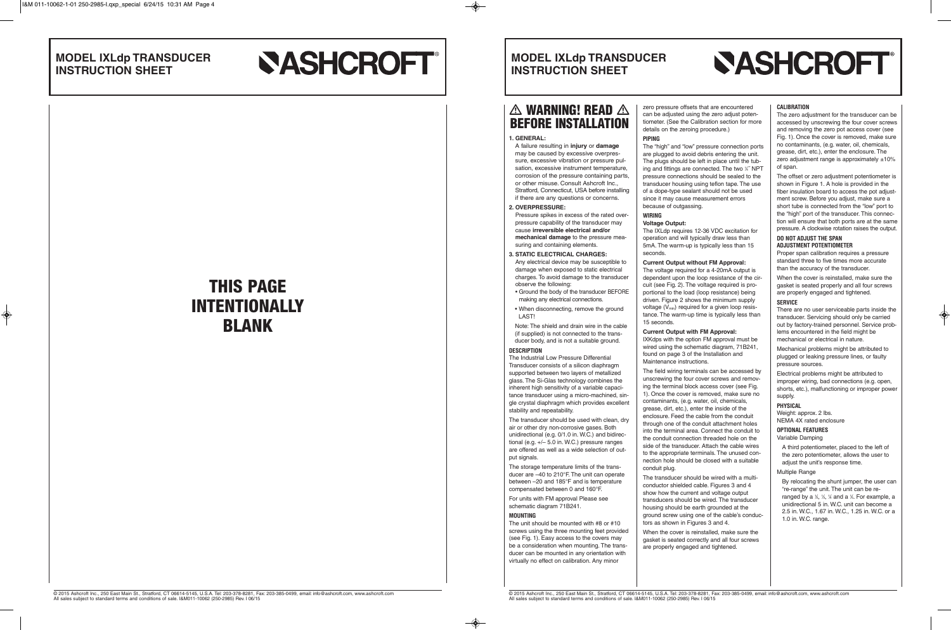# **WARNING! READ**  $\triangle$  | zero pressure offsets that are encountered **BEFORE INSTALLATION**

## **MODEL IXLdp TRANSDUCER INSTRUCTION SHEET**

## **MODEL IXLdp TRANSDUCER INSTRUCTION SHEET**

# **SASHCROFT®**

### **1. GENERAL:**

A failure resulting in **injury** or **damage** may be caused by excessive overpressure, excessive vibration or pressure pulsation, excessive instrument temperature, corrosion of the pressure containing parts, or other misuse. Consult Ashcroft Inc., Stratford, Connecticut, USA before installing if there are any questions or concerns.

### **2. OVERPRESSURE:**

Pressure spikes in excess of the rated overpressure capability of the transducer may cause **irreversible electrical and/or mechanical damage** to the pressure measuring and containing elements.

### **3. STATIC ELECTRICAL CHARGES:**

Any electrical device may be susceptible to damage when exposed to static electrical charges. To avoid damage to the transducer observe the following:

• Ground the body of the transducer BEFORE making any electrical connections.

 • When disconnecting, remove the ground LAST!

 Note: The shield and drain wire in the cable (if supplied) is not connected to the transducer body, and is not a suitable ground.

### **DESCRIPTION**

The Industrial Low Pressure Differential Transducer consists of a silicon diaphragm supported between two layers of metallized glass. The Si-Glas technology combines the inherent high sensitivity of a variable capacitance transducer using a micro-machined, single crystal diaphragm which provides excellent stability and repeatability.

The transducer should be used with clean, dry air or other dry non-corrosive gases. Both unidirectional (e.g. 0/1.0 in. W.C.) and bidirectional (e.g. +/– 5.0 in. W.C.) pressure ranges are offered as well as a wide selection of output signals.

The storage temperature limits of the transducer are –40 to 210°F. The unit can operate between –20 and 185°F and is temperature compensated between 0 and 160°F.

For units with FM approval Please see schematic diagram 71B241.

### **MOUNTING**

The unit should be mounted with #8 or #10 screws using the three mounting feet provided (see Fig. 1). Easy access to the covers may be a consideration when mounting. The transducer can be mounted in any orientation with virtually no effect on calibration. Any minor

can be adjusted using the zero adjust potentiometer. (See the Calibration section for more

details on the zeroing procedure.)

### **PIPING**

The "high" and "low" pressure connection ports are plugged to avoid debris entering the unit. The plugs should be left in place until the tubing and fittings are connected. The two 1/4" NPT pressure connections should be sealed to the transducer housing using teflon tape. The use of a dope-type sealant should not be used since it may cause measurement errors because of outgassing.

#### **WIRING Voltage Output:**

The IXLdp requires 12-36 VDC excitation for operation and will typically draw less than 5mA. The warm-up is typically less than 15

seconds.

**Current Output without FM Approval:** The voltage required for a 4-20mA output is dependent upon the loop resistance of the circuit (see Fig. 2). The voltage required is proportional to the load (loop resistance) being driven. Figure 2 shows the minimum supply voltage (Vmin) required for a given loop resistance. The warm-up time is typically less than 15 seconds.

### **Current Output with FM Approval:**

IXKdps with the option FM approval must be wired using the schematic diagram, 71B241, found on page 3 of the Installation and Maintenance instructions.

The field wiring terminals can be accessed by unscrewing the four cover screws and removing the terminal block access cover (see Fig. 1). Once the cover is removed, make sure no contaminants, (e.g. water, oil, chemicals, grease, dirt, etc.), enter the inside of the enclosure. Feed the cable from the conduit through one of the conduit attachment holes into the terminal area. Connect the conduit to the conduit connection threaded hole on the side of the transducer. Attach the cable wires to the appropriate terminals. The unused connection hole should be closed with a suitable conduit plug.

The transducer should be wired with a multiconductor shielded cable. Figures 3 and 4 show how the current and voltage output transducers should be wired. The transducer housing should be earth grounded at the ground screw using one of the cable's conductors as shown in Figures 3 and 4.

When the cover is reinstalled, make sure the gasket is seated correctly and all four screws are properly engaged and tightened.

© 2015 Ashcroft Inc., 250 East Main St., Stratford, CT 06614-5145, U.S.A. Tel: 203-378-8281, Fax: 203-385-0499, email: info@ashcroft.com, www.ashcroft.com All sales subject to standard terms and conditions of sale. I&M011-10062 (250-2985) Rev. I 06/15

# **SASHCROFT**®

### **CALIBRATION**

The zero adjustment for the transducer can be accessed by unscrewing the four cover screws and removing the zero pot access cover (see Fig. 1). Once the cover is removed, make sure no contaminants, (e.g. water, oil, chemicals, grease, dirt, etc.), enter the enclosure. The zero adjustment range is approximately  $\pm 10\%$ of span.

The offset or zero adjustment potentiometer is shown in Figure 1. A hole is provided in the fiber insulation board to access the pot adjustment screw. Before you adjust, make sure a short tube is connected from the "low" port to the "high" port of the transducer. This connection will ensure that both ports are at the same pressure. A clockwise rotation raises the output.

### **DO NOT ADJUST THE SPAN ADJUSTMENT POTENTIOMETER**

Proper span calibration requires a pressure standard three to five times more accurate than the accuracy of the transducer.

When the cover is reinstalled, make sure the gasket is seated properly and all four screws are properly engaged and tightened.

### **SERVICE**

There are no user serviceable parts inside the transducer. Servicing should only be carried out by factory-trained personnel. Service problems encountered in the field might be mechanical or electrical in nature.

Mechanical problems might be attributed to plugged or leaking pressure lines, or faulty pressure sources.

Electrical problems might be attributed to improper wiring, bad connections (e.g. open, shorts, etc.), malfunctioning or improper power supply.

### **PHYSICAL**

Weight: approx. 2 lbs. NEMA 4X rated enclosure

### **OPTIONAL FEATURES**

Variable Damping

A third potentiometer, placed to the left of the zero potentiometer, allows the user to adjust the unit's response time.

Multiple Range

By relocating the shunt jumper, the user can "re-range" the unit. The unit can be reranged by a  $\frac{1}{2}$ ,  $\frac{1}{3}$ ,  $\frac{1}{4}$  and a  $\frac{1}{5}$ . For example, a unidirectional 5 in. W.C. unit can become a 2.5 in. W.C., 1.67 in. W.C., 1.25 in. W.C. or a 1.0 in. W.C. range.

**THIS PAGE INTENTIONALLY BLANK**